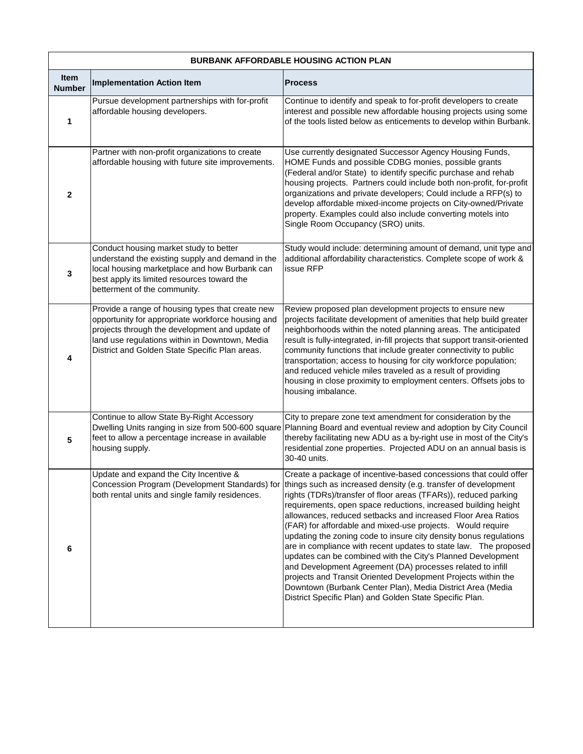| <b>BURBANK AFFORDABLE HOUSING ACTION PLAN</b> |                                                                                                                                                                                                                                                             |                                                                                                                                                                                                                                                                                                                                                                                                                                                                                                                                                                                                                                                                                                                                                                                                                                                                       |  |
|-----------------------------------------------|-------------------------------------------------------------------------------------------------------------------------------------------------------------------------------------------------------------------------------------------------------------|-----------------------------------------------------------------------------------------------------------------------------------------------------------------------------------------------------------------------------------------------------------------------------------------------------------------------------------------------------------------------------------------------------------------------------------------------------------------------------------------------------------------------------------------------------------------------------------------------------------------------------------------------------------------------------------------------------------------------------------------------------------------------------------------------------------------------------------------------------------------------|--|
| Item<br><b>Number</b>                         | <b>Implementation Action Item</b>                                                                                                                                                                                                                           | <b>Process</b>                                                                                                                                                                                                                                                                                                                                                                                                                                                                                                                                                                                                                                                                                                                                                                                                                                                        |  |
| 1                                             | Pursue development partnerships with for-profit<br>affordable housing developers.                                                                                                                                                                           | Continue to identify and speak to for-profit developers to create<br>interest and possible new affordable housing projects using some<br>of the tools listed below as enticements to develop within Burbank.                                                                                                                                                                                                                                                                                                                                                                                                                                                                                                                                                                                                                                                          |  |
| 2                                             | Partner with non-profit organizations to create<br>affordable housing with future site improvements.                                                                                                                                                        | Use currently designated Successor Agency Housing Funds,<br>HOME Funds and possible CDBG monies, possible grants<br>(Federal and/or State) to identify specific purchase and rehab<br>housing projects. Partners could include both non-profit, for-profit<br>organizations and private developers; Could include a RFP(s) to<br>develop affordable mixed-income projects on City-owned/Private<br>property. Examples could also include converting motels into<br>Single Room Occupancy (SRO) units.                                                                                                                                                                                                                                                                                                                                                                 |  |
| 3                                             | Conduct housing market study to better<br>understand the existing supply and demand in the<br>local housing marketplace and how Burbank can<br>best apply its limited resources toward the<br>betterment of the community.                                  | Study would include: determining amount of demand, unit type and<br>additional affordability characteristics. Complete scope of work &<br>issue RFP                                                                                                                                                                                                                                                                                                                                                                                                                                                                                                                                                                                                                                                                                                                   |  |
| 4                                             | Provide a range of housing types that create new<br>opportunity for appropriate workforce housing and<br>projects through the development and update of<br>land use regulations within in Downtown, Media<br>District and Golden State Specific Plan areas. | Review proposed plan development projects to ensure new<br>projects facilitate development of amenities that help build greater<br>neighborhoods within the noted planning areas. The anticipated<br>result is fully-integrated, in-fill projects that support transit-oriented<br>community functions that include greater connectivity to public<br>transportation; access to housing for city workforce population;<br>and reduced vehicle miles traveled as a result of providing<br>housing in close proximity to employment centers. Offsets jobs to<br>housing imbalance.                                                                                                                                                                                                                                                                                      |  |
| 5                                             | Continue to allow State By-Right Accessory<br>Dwelling Units ranging in size from 500-600 square<br>feet to allow a percentage increase in available<br>housing supply.                                                                                     | City to prepare zone text amendment for consideration by the<br>Planning Board and eventual review and adoption by City Council<br>thereby facilitating new ADU as a by-right use in most of the City's<br>residential zone properties. Projected ADU on an annual basis is<br>30-40 units.                                                                                                                                                                                                                                                                                                                                                                                                                                                                                                                                                                           |  |
| 6                                             | Update and expand the City Incentive &<br>Concession Program (Development Standards) for<br>both rental units and single family residences.                                                                                                                 | Create a package of incentive-based concessions that could offer<br>things such as increased density (e.g. transfer of development<br>rights (TDRs)/transfer of floor areas (TFARs)), reduced parking<br>requirements, open space reductions, increased building height<br>allowances, reduced setbacks and increased Floor Area Ratios<br>(FAR) for affordable and mixed-use projects. Would require<br>updating the zoning code to insure city density bonus regulations<br>are in compliance with recent updates to state law. The proposed<br>updates can be combined with the City's Planned Development<br>and Development Agreement (DA) processes related to infill<br>projects and Transit Oriented Development Projects within the<br>Downtown (Burbank Center Plan), Media District Area (Media<br>District Specific Plan) and Golden State Specific Plan. |  |